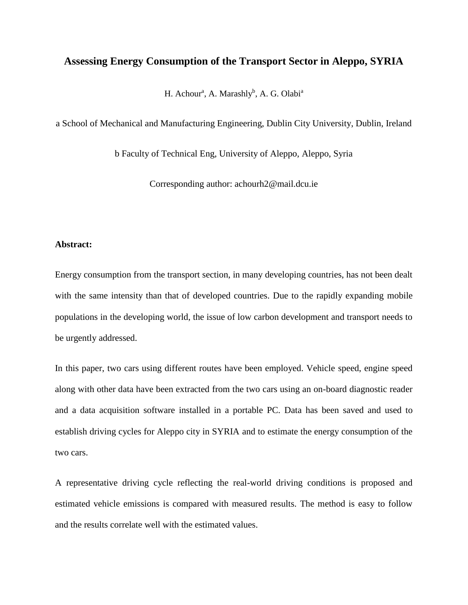# **Assessing Energy Consumption of the Transport Sector in Aleppo, SYRIA**

H. Achour<sup>a</sup>, A. Marashly<sup>b</sup>, A. G. Olabi<sup>a</sup>

a School of Mechanical and Manufacturing Engineering, Dublin City University, Dublin, Ireland

b Faculty of Technical Eng, University of Aleppo, Aleppo, Syria

Corresponding author: achourh2@mail.dcu.ie

### **Abstract:**

Energy consumption from the transport section, in many developing countries, has not been dealt with the same intensity than that of developed countries. Due to the rapidly expanding mobile populations in the developing world, the issue of low carbon development and transport needs to be urgently addressed.

In this paper, two cars using different routes have been employed. Vehicle speed, engine speed along with other data have been extracted from the two cars using an on-board diagnostic reader and a data acquisition software installed in a portable PC. Data has been saved and used to establish driving cycles for Aleppo city in SYRIA and to estimate the energy consumption of the two cars.

A representative driving cycle reflecting the real-world driving conditions is proposed and estimated vehicle emissions is compared with measured results. The method is easy to follow and the results correlate well with the estimated values.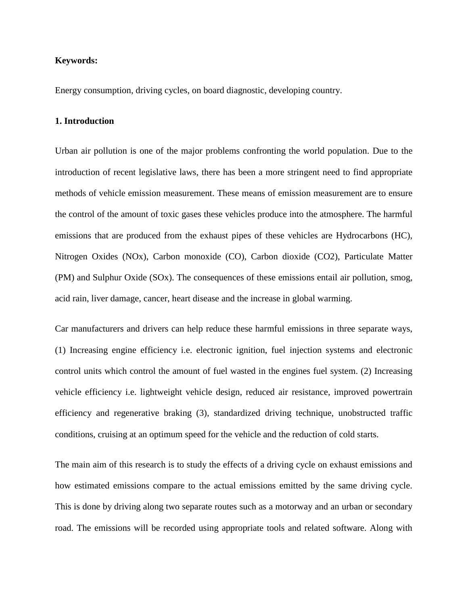### **Keywords:**

Energy consumption, driving cycles, on board diagnostic, developing country.

#### **1. Introduction**

Urban air pollution is one of the major problems confronting the world population. Due to the introduction of recent legislative laws, there has been a more stringent need to find appropriate methods of vehicle emission measurement. These means of emission measurement are to ensure the control of the amount of toxic gases these vehicles produce into the atmosphere. The harmful emissions that are produced from the exhaust pipes of these vehicles are Hydrocarbons (HC), Nitrogen Oxides (NOx), Carbon monoxide (CO), Carbon dioxide (CO2), Particulate Matter (PM) and Sulphur Oxide (SOx). The consequences of these emissions entail air pollution, smog, acid rain, liver damage, cancer, heart disease and the increase in global warming.

Car manufacturers and drivers can help reduce these harmful emissions in three separate ways, (1) Increasing engine efficiency i.e. electronic ignition, fuel injection systems and electronic control units which control the amount of fuel wasted in the engines fuel system. (2) Increasing vehicle efficiency i.e. lightweight vehicle design, reduced air resistance, improved powertrain efficiency and regenerative braking (3), standardized driving technique, unobstructed traffic conditions, cruising at an optimum speed for the vehicle and the reduction of cold starts.

The main aim of this research is to study the effects of a driving cycle on exhaust emissions and how estimated emissions compare to the actual emissions emitted by the same driving cycle. This is done by driving along two separate routes such as a motorway and an urban or secondary road. The emissions will be recorded using appropriate tools and related software. Along with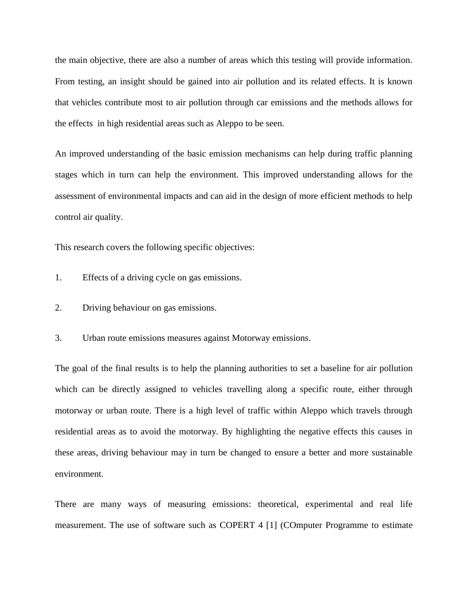the main objective, there are also a number of areas which this testing will provide information. From testing, an insight should be gained into air pollution and its related effects. It is known that vehicles contribute most to air pollution through car emissions and the methods allows for the effects in high residential areas such as Aleppo to be seen.

An improved understanding of the basic emission mechanisms can help during traffic planning stages which in turn can help the environment. This improved understanding allows for the assessment of environmental impacts and can aid in the design of more efficient methods to help control air quality.

This research covers the following specific objectives:

- 1. Effects of a driving cycle on gas emissions.
- 2. Driving behaviour on gas emissions.

3. Urban route emissions measures against Motorway emissions.

The goal of the final results is to help the planning authorities to set a baseline for air pollution which can be directly assigned to vehicles travelling along a specific route, either through motorway or urban route. There is a high level of traffic within Aleppo which travels through residential areas as to avoid the motorway. By highlighting the negative effects this causes in these areas, driving behaviour may in turn be changed to ensure a better and more sustainable environment.

There are many ways of measuring emissions: theoretical, experimental and real life measurement. The use of software such as COPERT 4 [1] (COmputer Programme to estimate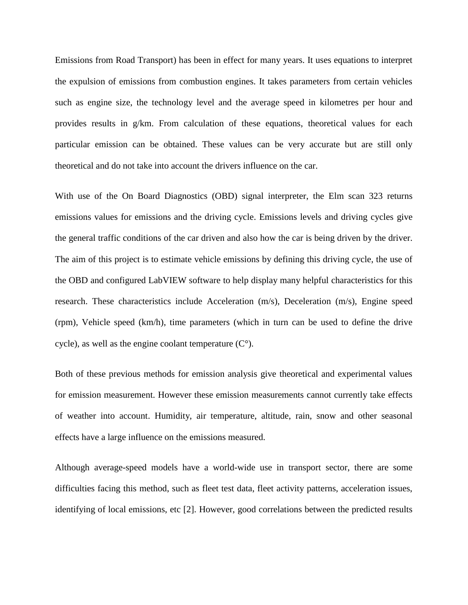Emissions from Road Transport) has been in effect for many years. It uses equations to interpret the expulsion of emissions from combustion engines. It takes parameters from certain vehicles such as engine size, the technology level and the average speed in kilometres per hour and provides results in g/km. From calculation of these equations, theoretical values for each particular emission can be obtained. These values can be very accurate but are still only theoretical and do not take into account the drivers influence on the car.

With use of the On Board Diagnostics (OBD) signal interpreter, the Elm scan 323 returns emissions values for emissions and the driving cycle. Emissions levels and driving cycles give the general traffic conditions of the car driven and also how the car is being driven by the driver. The aim of this project is to estimate vehicle emissions by defining this driving cycle, the use of the OBD and configured LabVIEW software to help display many helpful characteristics for this research. These characteristics include Acceleration (m/s), Deceleration (m/s), Engine speed (rpm), Vehicle speed (km/h), time parameters (which in turn can be used to define the drive cycle), as well as the engine coolant temperature  $(C<sup>o</sup>)$ .

Both of these previous methods for emission analysis give theoretical and experimental values for emission measurement. However these emission measurements cannot currently take effects of weather into account. Humidity, air temperature, altitude, rain, snow and other seasonal effects have a large influence on the emissions measured.

Although average-speed models have a world-wide use in transport sector, there are some difficulties facing this method, such as fleet test data, fleet activity patterns, acceleration issues, identifying of local emissions, etc [2]. However, good correlations between the predicted results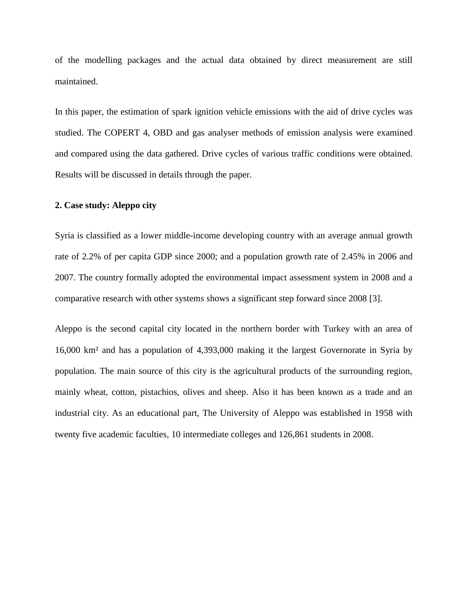of the modelling packages and the actual data obtained by direct measurement are still maintained.

In this paper, the estimation of spark ignition vehicle emissions with the aid of drive cycles was studied. The COPERT 4, OBD and gas analyser methods of emission analysis were examined and compared using the data gathered. Drive cycles of various traffic conditions were obtained. Results will be discussed in details through the paper.

#### **2. Case study: Aleppo city**

Syria is classified as a lower middle-income developing country with an average annual growth rate of 2.2% of per capita GDP since 2000; and a population growth rate of 2.45% in 2006 and 2007. The country formally adopted the environmental impact assessment system in 2008 and a comparative research with other systems shows a significant step forward since 2008 [3].

Aleppo is the second capital city located in the northern border with Turkey with an area of 16,000 km² and has a population of 4,393,000 making it the largest Governorate in Syria by population. The main source of this city is the agricultural products of the surrounding region, mainly wheat, cotton, pistachios, olives and sheep. Also it has been known as a trade and an industrial city. As an educational part, The University of Aleppo was established in 1958 with twenty five academic faculties, 10 intermediate colleges and 126,861 students in 2008.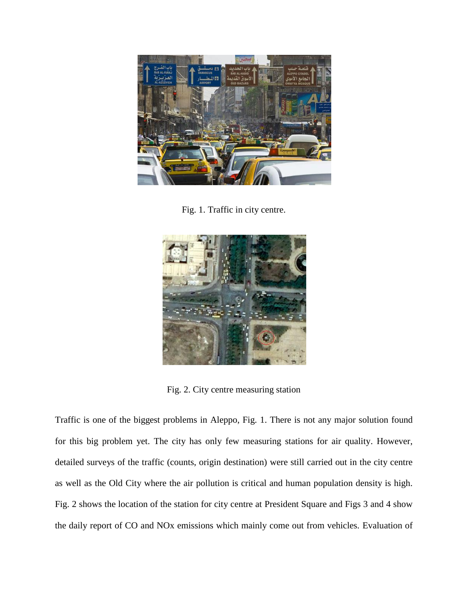

Fig. 1. Traffic in city centre.



Fig. 2. City centre measuring station

Traffic is one of the biggest problems in Aleppo, Fig. 1. There is not any major solution found for this big problem yet. The city has only few measuring stations for air quality. However, detailed surveys of the traffic (counts, origin destination) were still carried out in the city centre as well as the Old City where the air pollution is critical and human population density is high. Fig. 2 shows the location of the station for city centre at President Square and Figs 3 and 4 show the daily report of CO and NOx emissions which mainly come out from vehicles. Evaluation of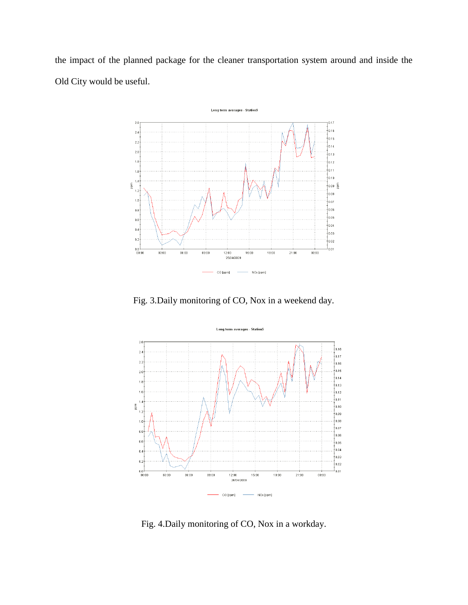the impact of the planned package for the cleaner transportation system around and inside the Old City would be useful.



Fig. 3.Daily monitoring of CO, Nox in a weekend day.



Fig. 4.Daily monitoring of CO, Nox in a workday.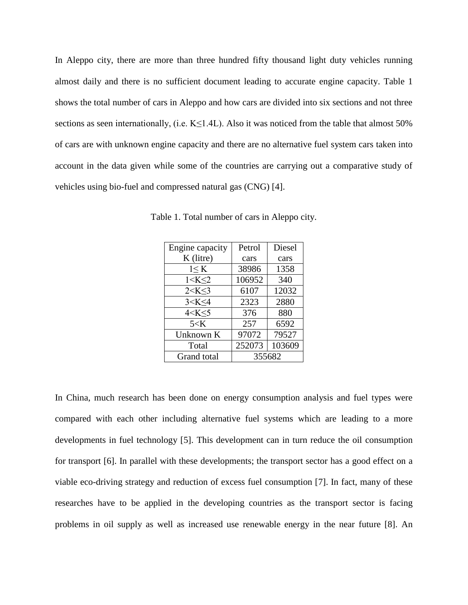In Aleppo city, there are more than three hundred fifty thousand light duty vehicles running almost daily and there is no sufficient document leading to accurate engine capacity. Table 1 shows the total number of cars in Aleppo and how cars are divided into six sections and not three sections as seen internationally, (i.e.  $K \leq 1.4L$ ). Also it was noticed from the table that almost 50% of cars are with unknown engine capacity and there are no alternative fuel system cars taken into account in the data given while some of the countries are carrying out a comparative study of vehicles using bio-fuel and compressed natural gas (CNG) [4].

| Engine capacity | Petrol | Diesel |  |
|-----------------|--------|--------|--|
| K (litre)       | cars   | cars   |  |
| 1 < K           | 38986  | 1358   |  |
| 1 < K < 2       | 106952 | 340    |  |
| 2 < K < 3       | 6107   | 12032  |  |
| 3 < K < 4       | 2323   | 2880   |  |
| 4 < K < 5       | 376    | 880    |  |
| $5<$ K          | 257    | 6592   |  |
| Unknown K       | 97072  | 79527  |  |
| Total           | 252073 | 103609 |  |
| Grand total     | 355682 |        |  |

Table 1. Total number of cars in Aleppo city.

In China, much research has been done on energy consumption analysis and fuel types were compared with each other including alternative fuel systems which are leading to a more developments in fuel technology [5]. This development can in turn reduce the oil consumption for transport [6]. In parallel with these developments; the transport sector has a good effect on a viable eco-driving strategy and reduction of excess fuel consumption [7]. In fact, many of these researches have to be applied in the developing countries as the transport sector is facing problems in oil supply as well as increased use renewable energy in the near future [8]. An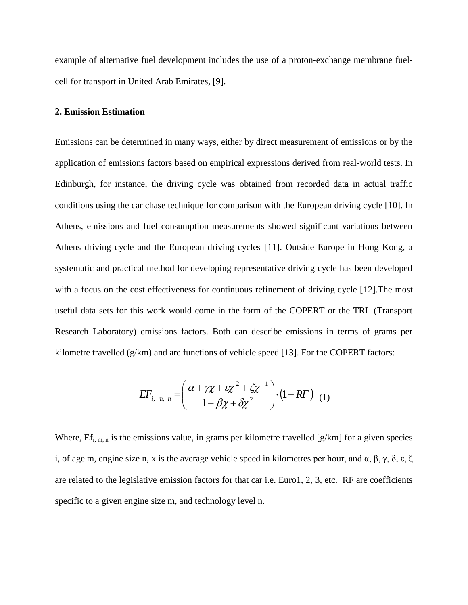example of alternative fuel development includes the use of a proton-exchange membrane fuelcell for transport in United Arab Emirates, [9].

#### **2. Emission Estimation**

Emissions can be determined in many ways, either by direct measurement of emissions or by the application of emissions factors based on empirical expressions derived from real-world tests. In Edinburgh, for instance, the driving cycle was obtained from recorded data in actual traffic conditions using the car chase technique for comparison with the European driving cycle [10]. In Athens, emissions and fuel consumption measurements showed significant variations between Athens driving cycle and the European driving cycles [11]. Outside Europe in Hong Kong, a systematic and practical method for developing representative driving cycle has been developed with a focus on the cost effectiveness for continuous refinement of driving cycle [12]. The most useful data sets for this work would come in the form of the COPERT or the TRL (Transport Research Laboratory) emissions factors. Both can describe emissions in terms of grams per kilometre travelled (g/km) and are functions of vehicle speed [13]. For the COPERT factors:

$$
EF_{i, m, n} = \left(\frac{\alpha + \gamma \chi + \varepsilon \chi^2 + \zeta \chi^{-1}}{1 + \beta \chi + \delta \chi^2}\right) \cdot \left(1 - RF\right) \tag{1}
$$

Where,  $Ef_{i,m,n}$  is the emissions value, in grams per kilometre travelled [g/km] for a given species i, of age m, engine size n, x is the average vehicle speed in kilometres per hour, and α, β, γ, δ, ε, ζ are related to the legislative emission factors for that car i.e. Euro1, 2, 3, etc. RF are coefficients specific to a given engine size m, and technology level n.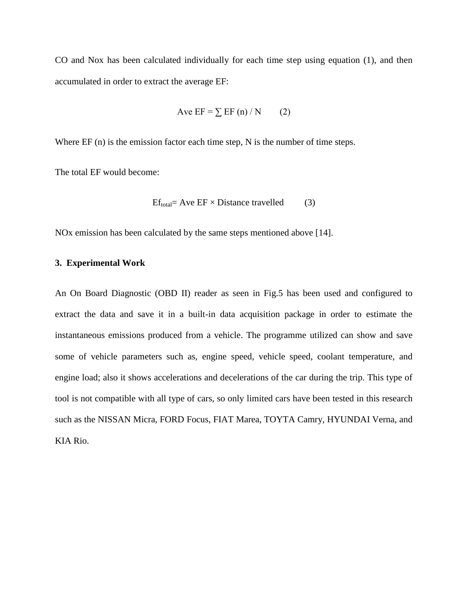CO and Nox has been calculated individually for each time step using equation (1), and then accumulated in order to extract the average EF:

$$
Ave EF = \sum EF \text{ (n) / N} \qquad (2)
$$

Where EF (n) is the emission factor each time step, N is the number of time steps.

The total EF would become:

$$
Ef_{total} = Ave EF \times Distance\ travelled \qquad (3)
$$

NOx emission has been calculated by the same steps mentioned above [14].

### **3. Experimental Work**

An On Board Diagnostic (OBD II) reader as seen in Fig.5 has been used and configured to extract the data and save it in a built-in data acquisition package in order to estimate the instantaneous emissions produced from a vehicle. The programme utilized can show and save some of vehicle parameters such as, engine speed, vehicle speed, coolant temperature, and engine load; also it shows accelerations and decelerations of the car during the trip. This type of tool is not compatible with all type of cars, so only limited cars have been tested in this research such as the NISSAN Micra, FORD Focus, FIAT Marea, TOYTA Camry, HYUNDAI Verna, and KIA Rio.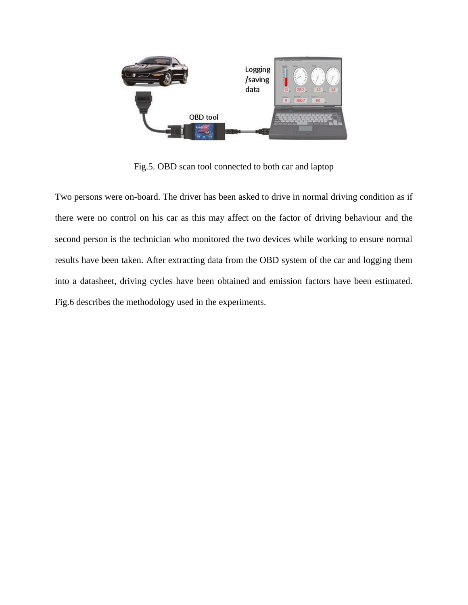

Fig.5. OBD scan tool connected to both car and laptop

Two persons were on-board. The driver has been asked to drive in normal driving condition as if there were no control on his car as this may affect on the factor of driving behaviour and the second person is the technician who monitored the two devices while working to ensure normal results have been taken. After extracting data from the OBD system of the car and logging them into a datasheet, driving cycles have been obtained and emission factors have been estimated. Fig.6 describes the methodology used in the experiments.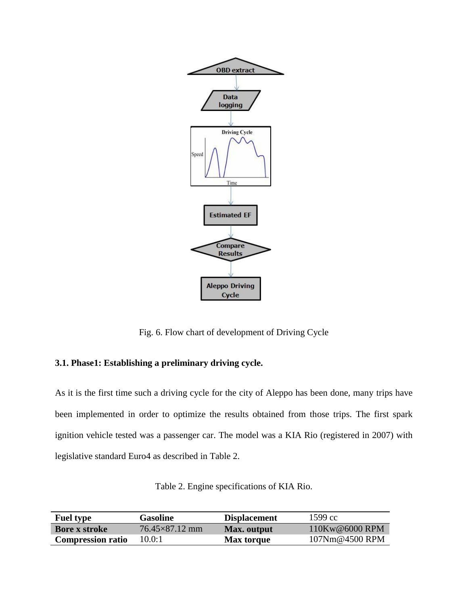

Fig. 6. Flow chart of development of Driving Cycle

# **3.1. Phase1: Establishing a preliminary driving cycle.**

As it is the first time such a driving cycle for the city of Aleppo has been done, many trips have been implemented in order to optimize the results obtained from those trips. The first spark ignition vehicle tested was a passenger car. The model was a KIA Rio (registered in 2007) with legislative standard Euro4 as described in Table 2.

| Table 2. Engine specifications of KIA Rio. |  |  |  |
|--------------------------------------------|--|--|--|
|--------------------------------------------|--|--|--|

| <b>Fuel type</b>         | <b>Gasoline</b>       | <b>Displacement</b> | $1599 \text{ cc}$ |
|--------------------------|-----------------------|---------------------|-------------------|
| <b>Bore x stroke</b>     | $76.45\times87.12$ mm | Max. output         | $110Kw@6000$ RPM  |
| <b>Compression ratio</b> | 10.0:1                | <b>Max torque</b>   | 107Nm@4500 RPM    |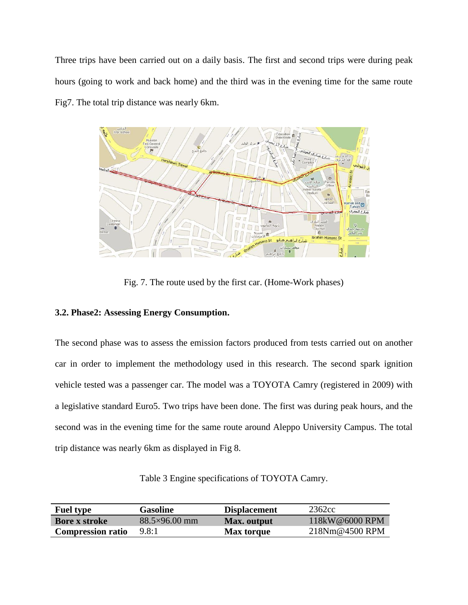Three trips have been carried out on a daily basis. The first and second trips were during peak hours (going to work and back home) and the third was in the evening time for the same route Fig7. The total trip distance was nearly 6km.



Fig. 7. The route used by the first car. (Home-Work phases)

# **3.2. Phase2: Assessing Energy Consumption.**

The second phase was to assess the emission factors produced from tests carried out on another car in order to implement the methodology used in this research. The second spark ignition vehicle tested was a passenger car. The model was a TOYOTA Camry (registered in 2009) with a legislative standard Euro5. Two trips have been done. The first was during peak hours, and the second was in the evening time for the same route around Aleppo University Campus. The total trip distance was nearly 6km as displayed in Fig 8.

Table 3 Engine specifications of TOYOTA Camry.

| <b>Fuel type</b>         | <b>Gasoline</b>      | <b>Displacement</b> | 2362cc         |
|--------------------------|----------------------|---------------------|----------------|
| <b>Bore x stroke</b>     | $88.5\times96.00$ mm | Max. output         | 118kW@6000 RPM |
| <b>Compression ratio</b> | 9.8:1                | <b>Max torque</b>   | 218Nm@4500 RPM |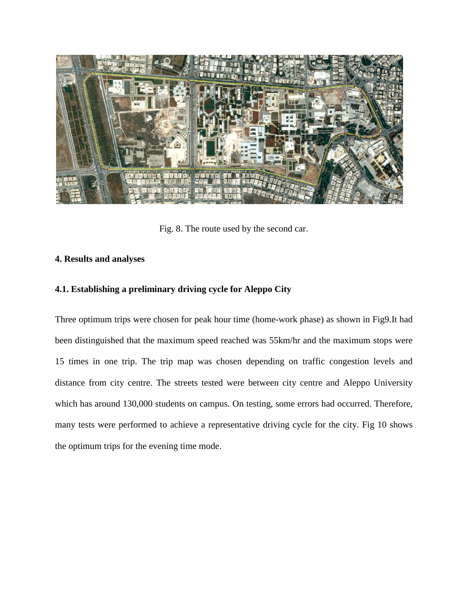

Fig. 8. The route used by the second car.

# **4. Results and analyses**

# **4.1. Establishing a preliminary driving cycle for Aleppo City**

Three optimum trips were chosen for peak hour time (home-work phase) as shown in Fig9.It had been distinguished that the maximum speed reached was 55km/hr and the maximum stops were 15 times in one trip. The trip map was chosen depending on traffic congestion levels and distance from city centre. The streets tested were between city centre and Aleppo University which has around 130,000 students on campus. On testing, some errors had occurred. Therefore, many tests were performed to achieve a representative driving cycle for the city. Fig 10 shows the optimum trips for the evening time mode.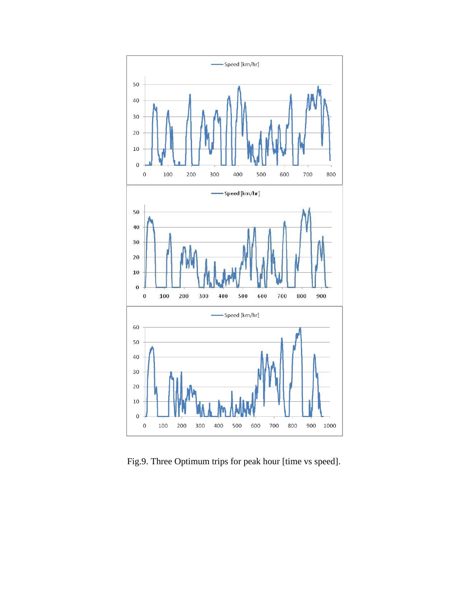

Fig.9. Three Optimum trips for peak hour [time vs speed].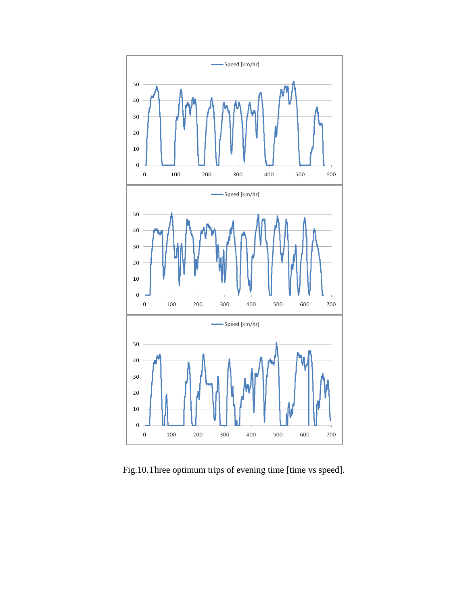

Fig.10.Three optimum trips of evening time [time vs speed].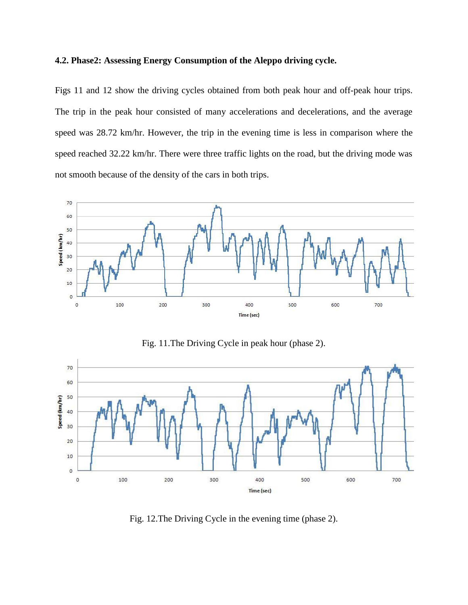### **4.2. Phase2: Assessing Energy Consumption of the Aleppo driving cycle.**

Figs 11 and 12 show the driving cycles obtained from both peak hour and off-peak hour trips. The trip in the peak hour consisted of many accelerations and decelerations, and the average speed was 28.72 km/hr. However, the trip in the evening time is less in comparison where the speed reached 32.22 km/hr. There were three traffic lights on the road, but the driving mode was not smooth because of the density of the cars in both trips.



Fig. 11.The Driving Cycle in peak hour (phase 2).



Fig. 12.The Driving Cycle in the evening time (phase 2).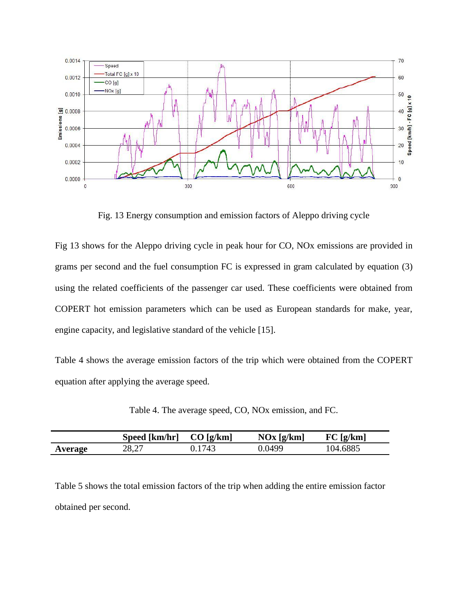

Fig. 13 Energy consumption and emission factors of Aleppo driving cycle

Fig 13 shows for the Aleppo driving cycle in peak hour for CO, NOx emissions are provided in grams per second and the fuel consumption FC is expressed in gram calculated by equation (3) using the related coefficients of the passenger car used. These coefficients were obtained from COPERT hot emission parameters which can be used as European standards for make, year, engine capacity, and legislative standard of the vehicle [15].

Table 4 shows the average emission factors of the trip which were obtained from the COPERT equation after applying the average speed.

| Table 4. The average speed, CO, NOx emission, and FC. |  |  |  |
|-------------------------------------------------------|--|--|--|
|-------------------------------------------------------|--|--|--|

|         | Speed [km/hr] | CO[g/km] | NOx [g/km] | FC [g/km] |
|---------|---------------|----------|------------|-----------|
| Average | 28.27         | 0.1743   | 0.0499     | 104.6885  |

Table 5 shows the total emission factors of the trip when adding the entire emission factor obtained per second.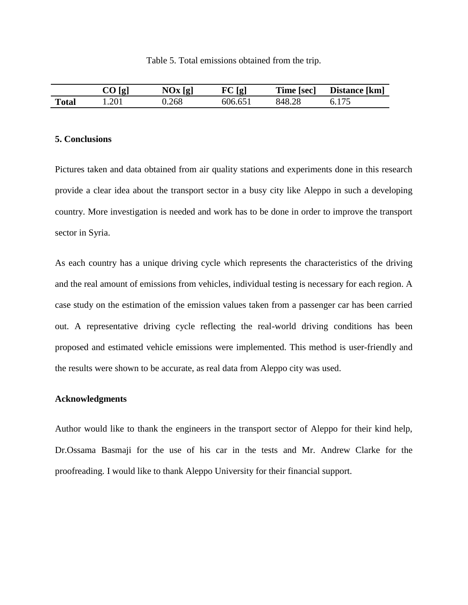|              | $CO$ [g] | NOx [g] | FC [g]  | Time [sec] | Distance [km] |
|--------------|----------|---------|---------|------------|---------------|
| <b>Total</b> | .201     | ).268   | 606.651 | 848.28     |               |

#### **5. Conclusions**

Pictures taken and data obtained from air quality stations and experiments done in this research provide a clear idea about the transport sector in a busy city like Aleppo in such a developing country. More investigation is needed and work has to be done in order to improve the transport sector in Syria.

As each country has a unique driving cycle which represents the characteristics of the driving and the real amount of emissions from vehicles, individual testing is necessary for each region. A case study on the estimation of the emission values taken from a passenger car has been carried out. A representative driving cycle reflecting the real-world driving conditions has been proposed and estimated vehicle emissions were implemented. This method is user-friendly and the results were shown to be accurate, as real data from Aleppo city was used.

#### **Acknowledgments**

Author would like to thank the engineers in the transport sector of Aleppo for their kind help, Dr.Ossama Basmaji for the use of his car in the tests and Mr. Andrew Clarke for the proofreading. I would like to thank Aleppo University for their financial support.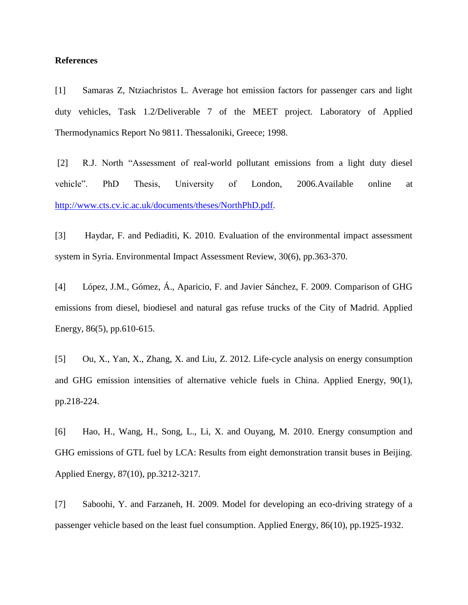### **References**

[1] Samaras Z, Ntziachristos L. Average hot emission factors for passenger cars and light duty vehicles, Task 1.2/Deliverable 7 of the MEET project. Laboratory of Applied Thermodynamics Report No 9811. Thessaloniki, Greece; 1998.

[2] R.J. North "Assessment of real-world pollutant emissions from a light duty diesel vehicle". PhD Thesis, University of London, 2006.Available online at [http://www.cts.cv.ic.ac.uk/documents/theses/NorthPhD.pdf.](http://www.cts.cv.ic.ac.uk/documents/theses/NorthPhD.pdf)

[3] Haydar, F. and Pediaditi, K. 2010. Evaluation of the environmental impact assessment system in Syria. Environmental Impact Assessment Review, 30(6), pp.363-370.

[4] López, J.M., Gómez, Á., Aparicio, F. and Javier Sánchez, F. 2009. Comparison of GHG emissions from diesel, biodiesel and natural gas refuse trucks of the City of Madrid. Applied Energy, 86(5), pp.610-615.

[5] Ou, X., Yan, X., Zhang, X. and Liu, Z. 2012. Life-cycle analysis on energy consumption and GHG emission intensities of alternative vehicle fuels in China. Applied Energy, 90(1), pp.218-224.

[6] Hao, H., Wang, H., Song, L., Li, X. and Ouyang, M. 2010. Energy consumption and GHG emissions of GTL fuel by LCA: Results from eight demonstration transit buses in Beijing. Applied Energy, 87(10), pp.3212-3217.

[7] Saboohi, Y. and Farzaneh, H. 2009. Model for developing an eco-driving strategy of a passenger vehicle based on the least fuel consumption. Applied Energy, 86(10), pp.1925-1932.